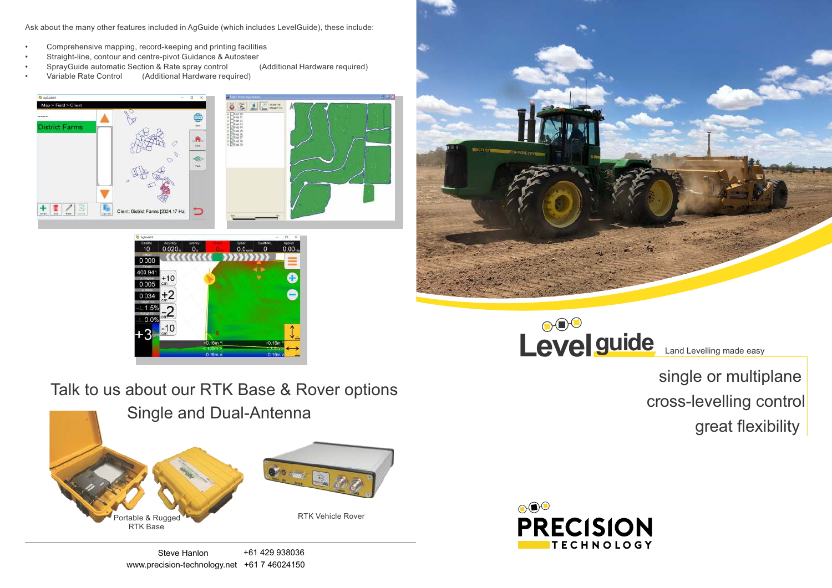## single or multiplane cross-levelling control great flexibility



## Talk to us about our RTK Base & Rover options

Ask about the many other features included in AgGuide (which includes LevelGuide), these include:

- Comprehensive mapping, record-keeping and printing facilities
- Straight-line, contour and centre-pivot Guidance & Autosteer
- SprayGuide automatic Section & Rate spray control (Additional Hardware required)
- Variable Rate Control (Additional Hardware required)
-